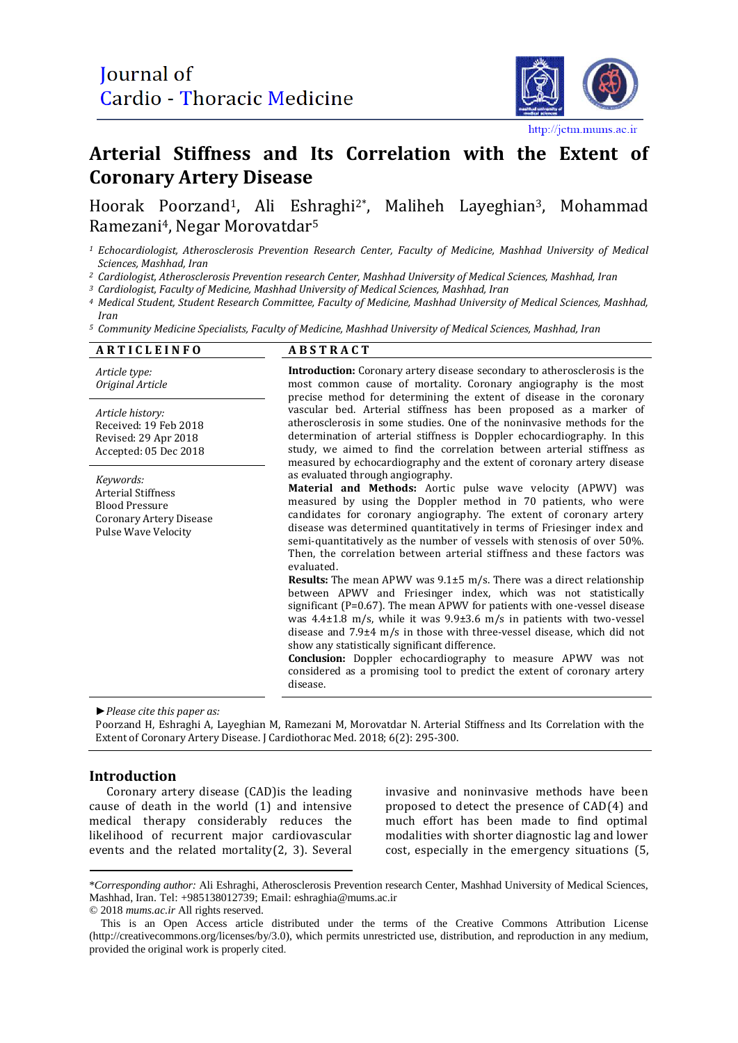

#### http://jetm.mums.ac.ir

# **Arterial Stiffness and Its Correlation with the Extent of Coronary Artery Disease**

## Hoorak Poorzand1, Ali Eshraghi2\*, Maliheh Layeghian3, Mohammad Ramezani4, Negar Morovatdar<sup>5</sup>

*<sup>1</sup> Echocardiologist, Atherosclerosis Prevention Research Center, Faculty of Medicine, Mashhad University of Medical Sciences, Mashhad, Iran*

*<sup>2</sup> Cardiologist, Atherosclerosis Prevention research Center, Mashhad University of Medical Sciences, Mashhad, Iran* 

*<sup>3</sup> Cardiologist, Faculty of Medicine, Mashhad University of Medical Sciences, Mashhad, Iran*

*<sup>4</sup> Medical Student, Student Research Committee, Faculty of Medicine, Mashhad University of Medical Sciences, Mashhad, Iran*

*<sup>5</sup> Community Medicine Specialists, Faculty of Medicine, Mashhad University of Medical Sciences, Mashhad, Iran*

| <b>ARTICLEINFO</b>                                                                                                       | <b>ABSTRACT</b>                                                                                                                                                                                                                                                                                                                                                                                                                                                                                                                                                                                                                                                                                                                                                                                                                                                                                                                                                                                                                                                                         |
|--------------------------------------------------------------------------------------------------------------------------|-----------------------------------------------------------------------------------------------------------------------------------------------------------------------------------------------------------------------------------------------------------------------------------------------------------------------------------------------------------------------------------------------------------------------------------------------------------------------------------------------------------------------------------------------------------------------------------------------------------------------------------------------------------------------------------------------------------------------------------------------------------------------------------------------------------------------------------------------------------------------------------------------------------------------------------------------------------------------------------------------------------------------------------------------------------------------------------------|
| Article type:<br>Original Article                                                                                        | <b>Introduction:</b> Coronary artery disease secondary to atherosclerosis is the<br>most common cause of mortality. Coronary angiography is the most<br>precise method for determining the extent of disease in the coronary                                                                                                                                                                                                                                                                                                                                                                                                                                                                                                                                                                                                                                                                                                                                                                                                                                                            |
| Article history:<br>Received: 19 Feb 2018<br>Revised: 29 Apr 2018<br>Accepted: 05 Dec 2018                               | vascular bed. Arterial stiffness has been proposed as a marker of<br>atherosclerosis in some studies. One of the noninvasive methods for the<br>determination of arterial stiffness is Doppler echocardiography. In this<br>study, we aimed to find the correlation between arterial stiffness as<br>measured by echocardiography and the extent of coronary artery disease                                                                                                                                                                                                                                                                                                                                                                                                                                                                                                                                                                                                                                                                                                             |
| Keywords:<br><b>Arterial Stiffness</b><br><b>Blood Pressure</b><br><b>Coronary Artery Disease</b><br>Pulse Wave Velocity | as evaluated through angiography.<br>Material and Methods: Aortic pulse wave velocity (APWV) was<br>measured by using the Doppler method in 70 patients, who were<br>candidates for coronary angiography. The extent of coronary artery<br>disease was determined quantitatively in terms of Friesinger index and<br>semi-quantitatively as the number of vessels with stenosis of over 50%.<br>Then, the correlation between arterial stiffness and these factors was<br>evaluated.<br><b>Results:</b> The mean APWV was $9.1\pm5$ m/s. There was a direct relationship<br>between APWV and Friesinger index, which was not statistically<br>significant ( $P=0.67$ ). The mean APWV for patients with one-vessel disease<br>was 4.4±1.8 m/s, while it was 9.9±3.6 m/s in patients with two-vessel<br>disease and 7.9±4 m/s in those with three-vessel disease, which did not<br>show any statistically significant difference.<br>Conclusion: Doppler echocardiography to measure APWV was not<br>considered as a promising tool to predict the extent of coronary artery<br>disease. |

*►Please cite this paper as:*

Poorzand H, Eshraghi A, Layeghian M, Ramezani M, Morovatdar N. Arterial Stiffness and Its Correlation with the Extent of Coronary Artery Disease. J Cardiothorac Med. 2018; 6(2): 295-300.

### **Introduction**

Coronary artery disease (CAD)is the leading cause of death in the world (1) and intensive medical therapy considerably reduces the likelihood of recurrent major cardiovascular events and the related mortality(2, 3). Several invasive and noninvasive methods have been proposed to detect the presence of CAD(4) and much effort has been made to find optimal modalities with shorter diagnostic lag and lower cost, especially in the emergency situations (5,

<sup>\*</sup>*Corresponding author:* Ali Eshraghi, Atherosclerosis Prevention research Center, Mashhad University of Medical Sciences, Mashhad, Iran. Tel: +985138012739; Email: [eshraghia@mums.ac.ir](mailto:eshraghia@mums.ac.ir) © 2018 *mums.ac.ir* All rights reserved.

This is an Open Access article distributed under the terms of the Creative Commons Attribution License (http://creativecommons.org/licenses/by/3.0), which permits unrestricted use, distribution, and reproduction in any medium, provided the original work is properly cited.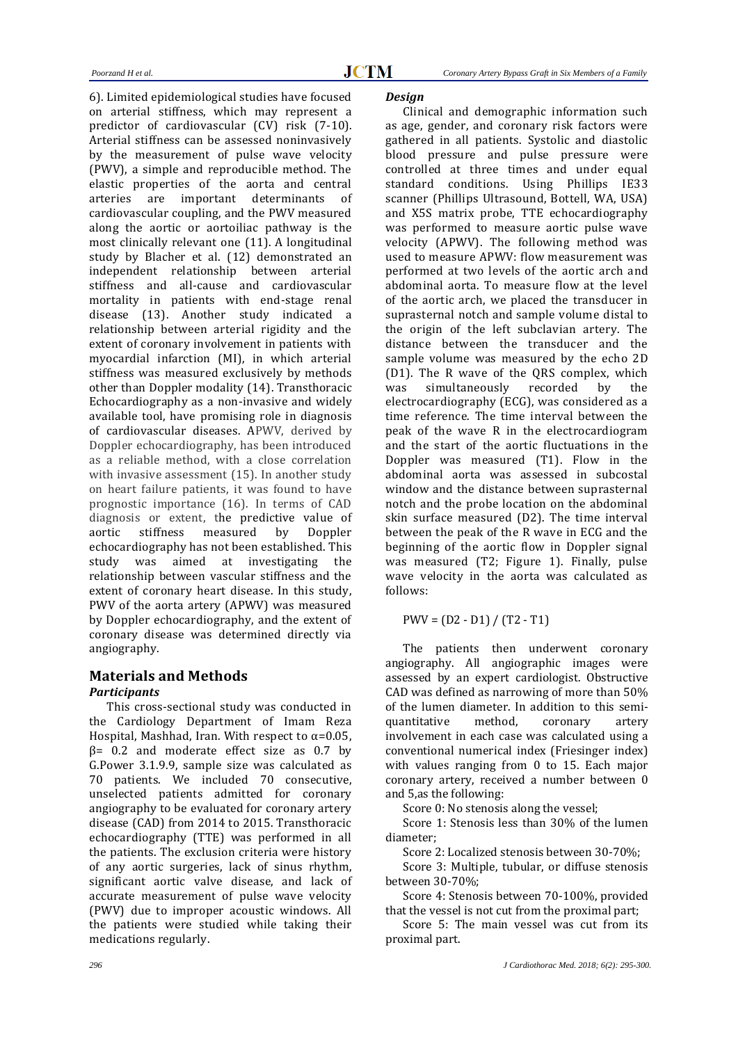6). Limited epidemiological studies have focused on arterial stiffness, which may represent a predictor of cardiovascular (CV) risk (7-10). Arterial stiffness can be assessed noninvasively by the measurement of pulse wave velocity (PWV), a simple and reproducible method. The elastic properties of the aorta and central arteries are important determinants of cardiovascular coupling, and the PWV measured along the aortic or aortoiliac pathway is the most clinically relevant one (11). A longitudinal study by Blacher et al. (12) demonstrated an independent relationship between arterial stiffness and all-cause and cardiovascular mortality in patients with end-stage renal disease (13). Another study indicated a relationship between arterial rigidity and the extent of coronary involvement in patients with myocardial infarction (MI), in which arterial stiffness was measured exclusively by methods other than Doppler modality (14). Transthoracic Echocardiography as a non-invasive and widely available tool, have promising role in diagnosis of cardiovascular diseases. APWV, derived by Doppler echocardiography, has been introduced as a reliable method, with a close correlation with invasive assessment (15). In another study on heart failure patients, it was found to have prognostic importance (16). In terms of CAD diagnosis or extent, the predictive value of aortic stiffness measured by Doppler echocardiography has not been established. This study was aimed at investigating the relationship between vascular stiffness and the extent of coronary heart disease. In this study, PWV of the aorta artery (APWV) was measured by Doppler echocardiography, and the extent of coronary disease was determined directly via angiography.

## **Materials and Methods**

#### *Participants*

This cross-sectional study was conducted in the Cardiology Department of Imam Reza Hospital, Mashhad, Iran. With respect to  $\alpha$ =0.05,  $β = 0.2$  and moderate effect size as 0.7 by G.Power 3.1.9.9, sample size was calculated as 70 patients. We included 70 consecutive, unselected patients admitted for coronary angiography to be evaluated for coronary artery disease (CAD) from 2014 to 2015. Transthoracic echocardiography (TTE) was performed in all the patients. The exclusion criteria were history of any aortic surgeries, lack of sinus rhythm, significant aortic valve disease, and lack of accurate measurement of pulse wave velocity (PWV) due to improper acoustic windows. All the patients were studied while taking their medications regularly.

#### *Design*

Clinical and demographic information such as age, gender, and coronary risk factors were gathered in all patients. Systolic and diastolic blood pressure and pulse pressure were controlled at three times and under equal standard conditions. Using Phillips IE33 scanner (Phillips Ultrasound, Bottell, WA, USA) and X5S matrix probe, TTE echocardiography was performed to measure aortic pulse wave velocity (APWV). The following method was used to measure APWV: flow measurement was performed at two levels of the aortic arch and abdominal aorta. To measure flow at the level of the aortic arch, we placed the transducer in suprasternal notch and sample volume distal to the origin of the left subclavian artery. The distance between the transducer and the sample volume was measured by the echo 2D (D1). The R wave of the QRS complex, which was simultaneously recorded by the electrocardiography (ECG), was considered as a time reference. The time interval between the peak of the wave R in the electrocardiogram and the start of the aortic fluctuations in the Doppler was measured (T1). Flow in the abdominal aorta was assessed in subcostal window and the distance between suprasternal notch and the probe location on the abdominal skin surface measured (D2). The time interval between the peak of the R wave in ECG and the beginning of the aortic flow in Doppler signal was measured (T2; Figure 1). Finally, pulse wave velocity in the aorta was calculated as follows:

 $PWV = (D2 - D1) / (T2 - T1)$ 

The patients then underwent coronary angiography. All angiographic images were assessed by an expert cardiologist. Obstructive CAD was defined as narrowing of more than 50% of the lumen diameter. In addition to this semiquantitative method, coronary artery involvement in each case was calculated using a conventional numerical index (Friesinger index) with values ranging from 0 to 15. Each major coronary artery, received a number between 0 and 5,as the following:

Score 0: No stenosis along the vessel;

Score 1: Stenosis less than 30% of the lumen diameter;

Score 2: Localized stenosis between 30-70%;

Score 3: Multiple, tubular, or diffuse stenosis between 30-70%;

Score 4: Stenosis between 70-100%, provided that the vessel is not cut from the proximal part;

Score 5: The main vessel was cut from its proximal part.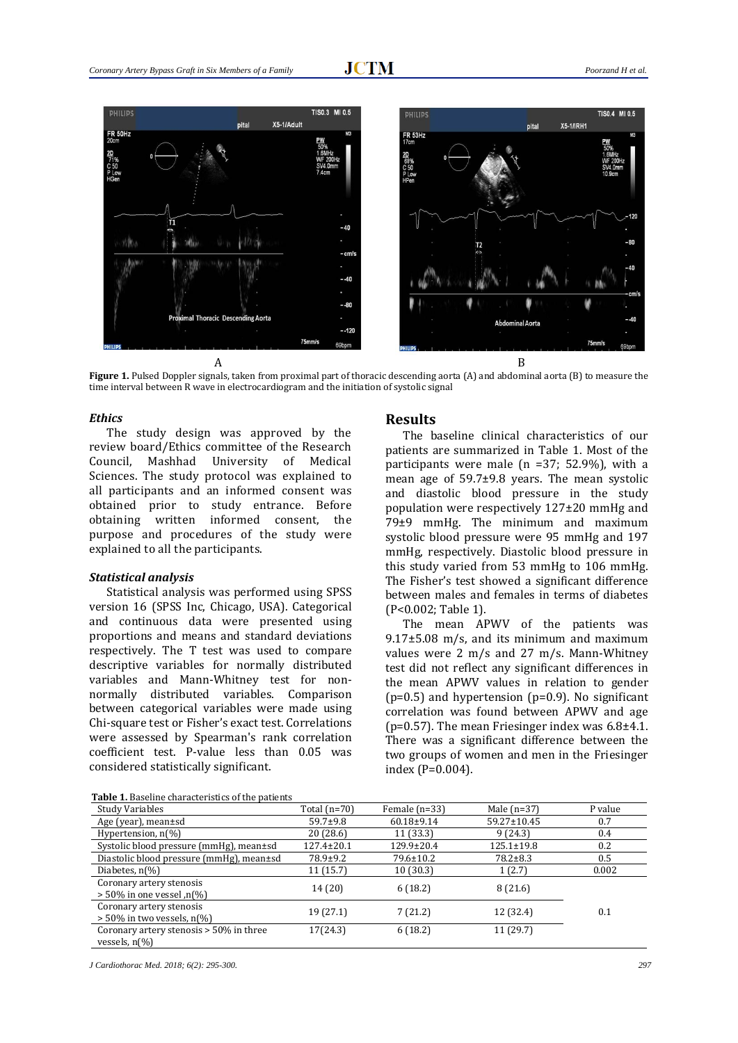

**Figure 1.** Pulsed Doppler signals, taken from proximal part of thoracic descending aorta (A) and abdominal aorta (B) to measure the time interval between R wave in electrocardiogram and the initiation of systolic signal

#### *Ethics*

The study design was approved by the review board/Ethics committee of the Research Council, Mashhad University of Medical Sciences. The study protocol was explained to all participants and an informed consent was obtained prior to study entrance. Before obtaining written informed consent, the purpose and procedures of the study were explained to all the participants.

#### *Statistical analysis*

Statistical analysis was performed using SPSS version 16 (SPSS Inc, Chicago, USA). Categorical and continuous data were presented using proportions and means and standard deviations respectively. The T test was used to compare descriptive variables for normally distributed variables and Mann-Whitney test for nonnormally distributed variables. Comparison between categorical variables were made using Chi-square test or Fisher's exact test. Correlations were assessed by Spearman's rank correlation coefficient test. P-value less than 0.05 was considered statistically significant.

#### **Results**

The baseline clinical characteristics of our patients are summarized in Table 1. Most of the participants were male (n =37; 52.9%), with a mean age of 59.7±9.8 years. The mean systolic and diastolic blood pressure in the study population were respectively 127±20 mmHg and 79±9 mmHg. The minimum and maximum systolic blood pressure were 95 mmHg and 197 mmHg, respectively. Diastolic blood pressure in this study varied from 53 mmHg to 106 mmHg. The Fisher's test showed a significant difference between males and females in terms of diabetes (P<0.002; Table 1).

The mean APWV of the patients was  $9.17\pm5.08$  m/s, and its minimum and maximum values were 2 m/s and 27 m/s. Mann-Whitney test did not reflect any significant differences in the mean APWV values in relation to gender  $(p=0.5)$  and hypertension  $(p=0.9)$ . No significant correlation was found between APWV and age (p=0.57). The mean Friesinger index was 6.8±4.1. There was a significant difference between the two groups of women and men in the Friesinger index (P=0.004).

**Table 1.** Baseline characteristics of the patients

| <b>Table 1.</b> Baseline characteristics of the patients            |                  |                  |                  |         |  |  |  |
|---------------------------------------------------------------------|------------------|------------------|------------------|---------|--|--|--|
| Study Variables                                                     | Total (n=70)     | Female $(n=33)$  | Male $(n=37)$    | P value |  |  |  |
| Age (year), mean $\pm$ sd                                           | $59.7 \pm 9.8$   | $60.18 \pm 9.14$ | 59.27±10.45      | 0.7     |  |  |  |
| Hypertension, $n\frac{1}{6}$                                        | 20 (28.6)        | 11 (33.3)        | 9(24.3)          | 0.4     |  |  |  |
| Systolic blood pressure (mmHg), mean±sd                             | $127.4 \pm 20.1$ | 129.9±20.4       | $125.1 \pm 19.8$ | 0.2     |  |  |  |
| Diastolic blood pressure (mmHg), mean±sd                            | 78.9±9.2         | 79.6±10.2        | $78.2 \pm 8.3$   | 0.5     |  |  |  |
| Diabetes, $n\frac{1}{6}$                                            | 11 (15.7)        | 10(30.3)         | 1(2.7)           | 0.002   |  |  |  |
| Coronary artery stenosis<br>$> 50\%$ in one vessel,n(%)             | 14 (20)          | 6(18.2)          | 8 (21.6)         |         |  |  |  |
| Coronary artery stenosis<br>$>$ 50% in two vessels, n(%)            | 19 (27.1)        | 7(21.2)          | 12 (32.4)        | 0.1     |  |  |  |
| Coronary artery stenosis > 50% in three<br>vessels, $n\llbracket\%$ | 17(24.3)         | 6(18.2)          | 11 (29.7)        |         |  |  |  |

*J Cardiothorac Med. 2018; 6(2): 295-300. 297*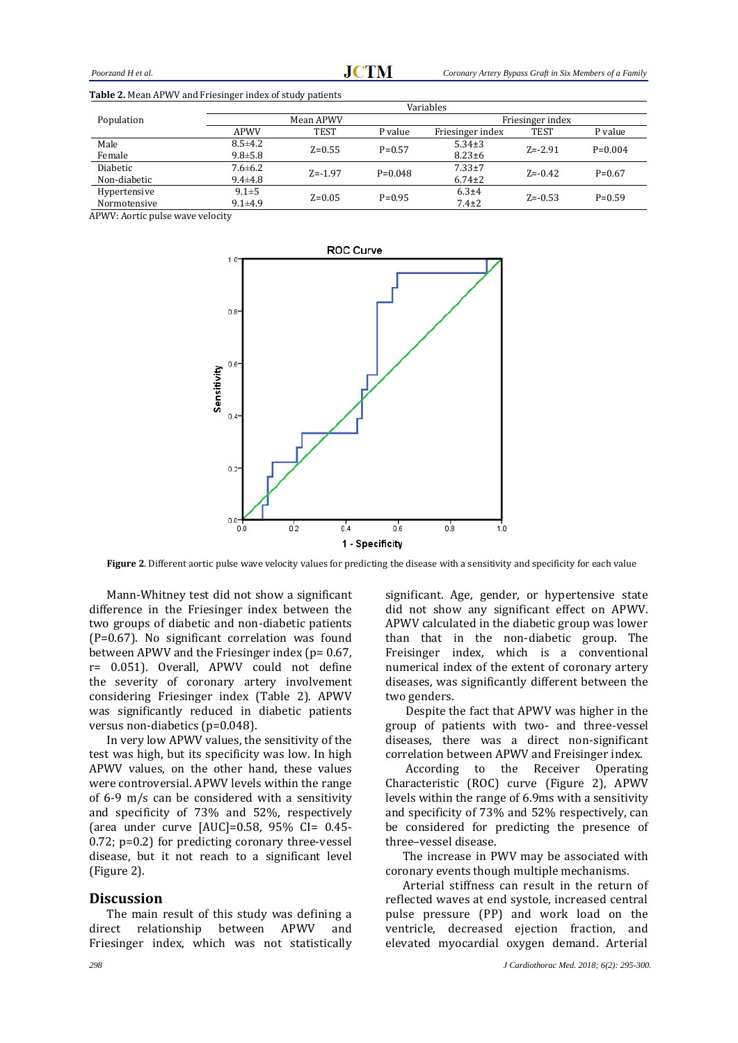| <b>rapic 2.</b> Mean Thewever and Friesinger mack of staay patients |                                        |             |           |                  |             |           |  |  |
|---------------------------------------------------------------------|----------------------------------------|-------------|-----------|------------------|-------------|-----------|--|--|
|                                                                     | Variables                              |             |           |                  |             |           |  |  |
| Population                                                          | Mean APWV                              |             |           | Friesinger index |             |           |  |  |
|                                                                     | APWV                                   | TEST        | P value   | Friesinger index | <b>TEST</b> | P value   |  |  |
| Male                                                                | $8.5 \pm 4.2$                          | $Z=0.55$    | $P=0.57$  | $5.34 \pm 3$     | $Z = -2.91$ | $P=0.004$ |  |  |
| Female                                                              | $9.8 \pm 5.8$                          |             |           | $8.23 \pm 6$     |             |           |  |  |
| <b>Diabetic</b>                                                     | $7.6 \pm 6.2$                          | $Z = -1.97$ | $P=0.048$ | $7.33 \pm 7$     | $Z = -0.42$ | $P=0.67$  |  |  |
| Non-diabetic                                                        | $9.4 \pm 4.8$                          |             |           | $6.74 \pm 2$     |             |           |  |  |
| Hypertensive                                                        | $9.1 \pm 5$<br>$Z=0.05$<br>$9.1 + 4.9$ |             | $P=0.95$  | $6.3 + 4$        | $Z = -0.53$ | $P=0.59$  |  |  |
| Normotensive                                                        |                                        |             |           | $7.4 \pm 2$      |             |           |  |  |

**Table 2.** Mean APWV and Friesinger index of study patients

APWV: Aortic pulse wave velocity



**Figure 2**. Different aortic pulse wave velocity values for predicting the disease with a sensitivity and specificity for each value

Mann-Whitney test did not show a significant difference in the Friesinger index between the two groups of diabetic and non-diabetic patients (P=0.67). No significant correlation was found between APWV and the Friesinger index ( $p = 0.67$ , r= 0.051). Overall, APWV could not define the severity of coronary artery involvement considering Friesinger index (Table 2). APWV was significantly reduced in diabetic patients versus non-diabetics (p=0.048).

In very low APWV values, the sensitivity of the test was high, but its specificity was low. In high APWV values, on the other hand, these values were controversial. APWV levels within the range of 6-9 m/s can be considered with a sensitivity and specificity of 73% and 52%, respectively (area under curve [AUC]=0.58, 95% CI= 0.45- 0.72; p=0.2) for predicting coronary three-vessel disease, but it not reach to a significant level (Figure 2).

#### **Discussion**

The main result of this study was defining a direct relationship between APWV and Friesinger index, which was not statistically significant. Age, gender, or hypertensive state did not show any significant effect on APWV. APWV calculated in the diabetic group was lower than that in the non-diabetic group. The Freisinger index, which is a conventional numerical index of the extent of coronary artery diseases, was significantly different between the two genders.

Despite the fact that APWV was higher in the group of patients with two- and three-vessel diseases, there was a direct non-significant correlation between APWV and Freisinger index.

According to the Receiver Operating Characteristic (ROC) curve (Figure 2), APWV levels within the range of 6.9ms with a sensitivity and specificity of 73% and 52% respectively, can be considered for predicting the presence of three–vessel disease.

The increase in PWV may be associated with coronary events though multiple mechanisms.

Arterial stiffness can result in the return of reflected waves at end systole, increased central pulse pressure (PP) and work load on the ventricle, decreased ejection fraction, and elevated myocardial oxygen demand. Arterial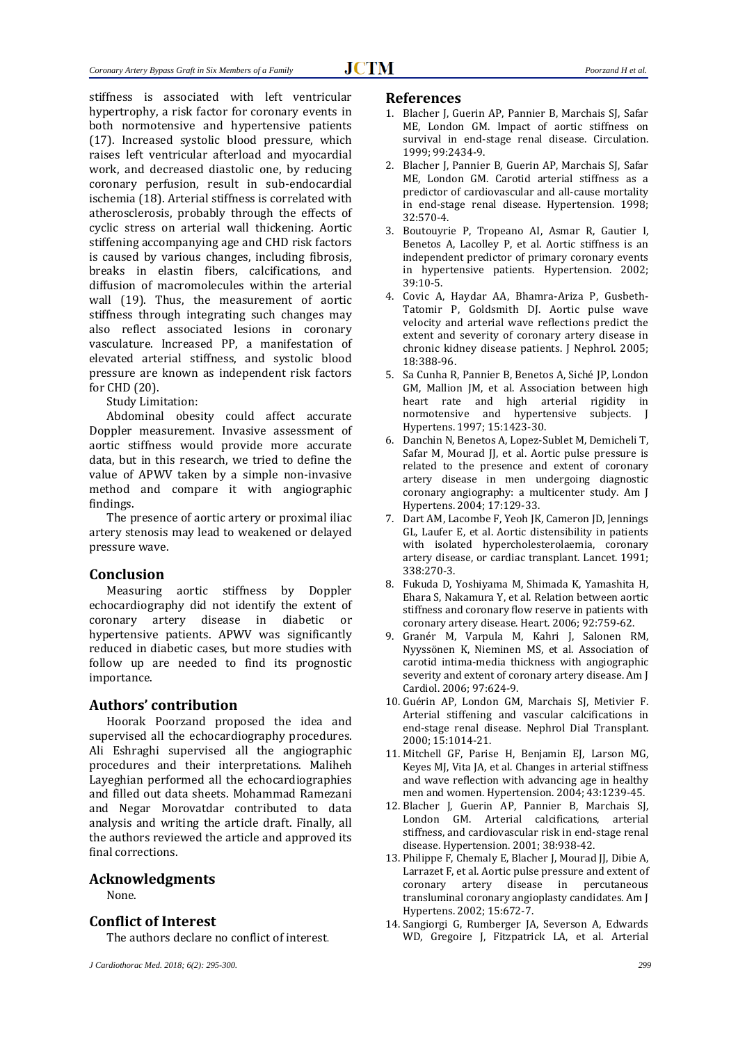stiffness is associated with left ventricular hypertrophy, a risk factor for coronary events in both normotensive and hypertensive patients (17). Increased systolic blood pressure, which raises left ventricular afterload and myocardial work, and decreased diastolic one, by reducing coronary perfusion, result in sub-endocardial ischemia (18). Arterial stiffness is correlated with atherosclerosis, probably through the effects of cyclic stress on arterial wall thickening. Aortic stiffening accompanying age and CHD risk factors is caused by various changes, including fibrosis, breaks in elastin fibers, calcifications, and diffusion of macromolecules within the arterial wall (19). Thus, the measurement of aortic stiffness through integrating such changes may also reflect associated lesions in coronary vasculature. Increased PP, a manifestation of elevated arterial stiffness, and systolic blood pressure are known as independent risk factors for CHD (20).

Study Limitation:

Abdominal obesity could affect accurate Doppler measurement. Invasive assessment of aortic stiffness would provide more accurate data, but in this research, we tried to define the value of APWV taken by a simple non-invasive method and compare it with angiographic findings.

The presence of aortic artery or proximal iliac artery stenosis may lead to weakened or delayed pressure wave.

## **Conclusion**

Measuring aortic stiffness by Doppler echocardiography did not identify the extent of coronary artery disease in diabetic or hypertensive patients. APWV was significantly reduced in diabetic cases, but more studies with follow up are needed to find its prognostic importance.

#### **Authors' contribution**

Hoorak Poorzand proposed the idea and supervised all the echocardiography procedures. Ali Eshraghi supervised all the angiographic procedures and their interpretations. Maliheh Layeghian performed all the echocardiographies and filled out data sheets. Mohammad Ramezani and Negar Morovatdar contributed to data analysis and writing the article draft. Finally, all the authors reviewed the article and approved its final corrections.

#### **Acknowledgments**

None.

## **Conflict of Interest**

The authors declare no conflict of interest.

#### **References**

- 1. Blacher J, Guerin AP, Pannier B, Marchais SJ, Safar ME, London GM. Impact of aortic stiffness on survival in end-stage renal disease. Circulation. 1999; 99:2434-9.
- 2. Blacher J, Pannier B, Guerin AP, Marchais SJ, Safar ME, London GM. Carotid arterial stiffness as a predictor of cardiovascular and all-cause mortality in end-stage renal disease. Hypertension. 1998; 32:570-4.
- 3. Boutouyrie P, Tropeano AI, Asmar R, Gautier I, Benetos A, Lacolley P, et al. Aortic stiffness is an independent predictor of primary coronary events in hypertensive patients. Hypertension. 2002; 39:10-5.
- 4. Covic A, Haydar AA, Bhamra-Ariza P, Gusbeth-Tatomir P, Goldsmith DJ. Aortic pulse wave velocity and arterial wave reflections predict the extent and severity of coronary artery disease in chronic kidney disease patients. J Nephrol. 2005; 18:388-96.
- 5. Sa Cunha R, Pannier B, Benetos A, Siché JP, London GM, Mallion JM, et al. Association between high heart rate and high arterial rigidity in normotensive and hypertensive subjects. J Hypertens. 1997; 15:1423-30.
- 6. Danchin N, Benetos A, Lopez-Sublet M, Demicheli T, Safar M, Mourad JJ, et al. Aortic pulse pressure is related to the presence and extent of coronary artery disease in men undergoing diagnostic coronary angiography: a multicenter study. Am J Hypertens. 2004; 17:129-33.
- 7. Dart AM, Lacombe F, Yeoh JK, Cameron JD, Jennings GL, Laufer E, et al. Aortic distensibility in patients with isolated hypercholesterolaemia, coronary artery disease, or cardiac transplant. Lancet. 1991; 338:270-3.
- 8. Fukuda D, Yoshiyama M, Shimada K, Yamashita H, Ehara S, Nakamura Y, et al. Relation between aortic stiffness and coronary flow reserve in patients with coronary artery disease. Heart. 2006; 92:759-62.
- 9. Granér M, Varpula M, Kahri J, Salonen RM, Nyyssönen K, Nieminen MS, et al. Association of carotid intima-media thickness with angiographic severity and extent of coronary artery disease. Am J Cardiol. 2006; 97:624-9.
- 10. Guérin AP, London GM, Marchais SJ, Metivier F. Arterial stiffening and vascular calcifications in end‐stage renal disease. Nephrol Dial Transplant. 2000; 15:1014-21.
- 11. Mitchell GF, Parise H, Benjamin EJ, Larson MG, Keyes MJ, Vita JA, et al. Changes in arterial stiffness and wave reflection with advancing age in healthy men and women. Hypertension. 2004; 43:1239-45.
- 12. Blacher J, Guerin AP, Pannier B, Marchais SJ, London GM. Arterial calcifications, arterial stiffness, and cardiovascular risk in end-stage renal disease. Hypertension. 2001; 38:938-42.
- 13. Philippe F, Chemaly E, Blacher J, Mourad JJ, Dibie A, Larrazet F, et al. Aortic pulse pressure and extent of coronary artery disease in percutaneous transluminal coronary angioplasty candidates. Am J Hypertens. 2002; 15:672-7.
- 14. Sangiorgi G, Rumberger JA, Severson A, Edwards WD, Gregoire J, Fitzpatrick LA, et al. Arterial